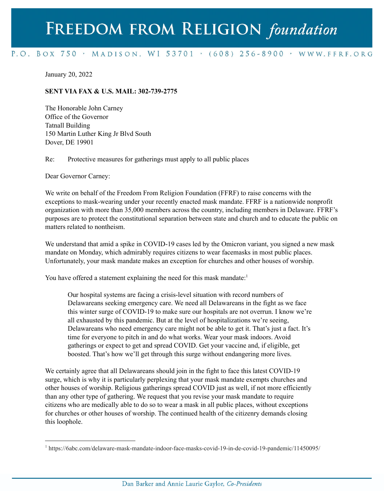## FREEDOM FROM RELIGION foundation

## P.O. BOX 750 > MADISON, WI 53701 > (608) 256-8900 > WWW.FFRF.ORG

January 20, 2022

## **SENT VIA FAX & U.S. MAIL: 302-739-2775**

The Honorable John Carney Office of the Governor Tatnall Building 150 Martin Luther King Jr Blvd South Dover, DE 19901

Re: Protective measures for gatherings must apply to all public places

Dear Governor Carney:

We write on behalf of the Freedom From Religion Foundation (FFRF) to raise concerns with the exceptions to mask-wearing under your recently enacted mask mandate. FFRF is a nationwide nonprofit organization with more than 35,000 members across the country, including members in Delaware. FFRF's purposes are to protect the constitutional separation between state and church and to educate the public on matters related to nontheism.

We understand that amid a spike in COVID-19 cases led by the Omicron variant, you signed a new mask mandate on Monday, which admirably requires citizens to wear facemasks in most public places. Unfortunately, your mask mandate makes an exception for churches and other houses of worship.

You have offered a statement explaining the need for this mask mandate:<sup>1</sup>

Our hospital systems are facing a crisis-level situation with record numbers of Delawareans seeking emergency care. We need all Delawareans in the fight as we face this winter surge of COVID-19 to make sure our hospitals are not overrun. I know we're all exhausted by this pandemic. But at the level of hospitalizations we're seeing, Delawareans who need emergency care might not be able to get it. That's just a fact. It's time for everyone to pitch in and do what works. Wear your mask indoors. Avoid gatherings or expect to get and spread COVID. Get your vaccine and, if eligible, get boosted. That's how we'll get through this surge without endangering more lives.

We certainly agree that all Delawareans should join in the fight to face this latest COVID-19 surge, which is why it is particularly perplexing that your mask mandate exempts churches and other houses of worship. Religious gatherings spread COVID just as well, if not more efficiently than any other type of gathering. We request that you revise your mask mandate to require citizens who are medically able to do so to wear a mask in all public places, without exceptions for churches or other houses of worship. The continued health of the citizenry demands closing this loophole.

<sup>1</sup> https://6abc.com/delaware-mask-mandate-indoor-face-masks-covid-19-in-de-covid-19-pandemic/11450095/